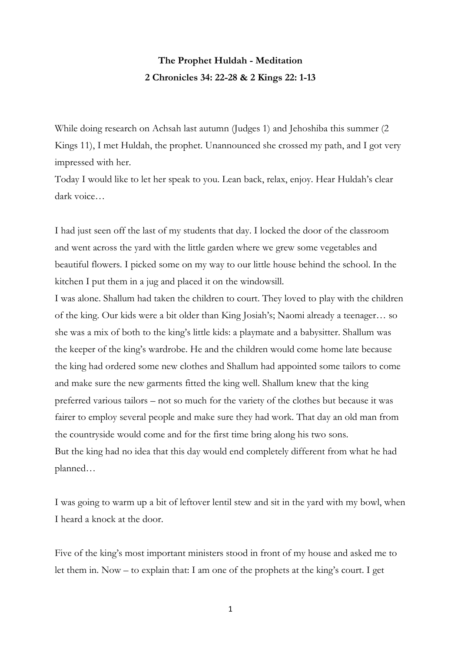## **The Prophet Huldah - Meditation 2 Chronicles 34: 22-28 & 2 Kings 22: 1-13**

While doing research on Achsah last autumn (Judges 1) and Jehoshiba this summer (2 Kings 11), I met Huldah, the prophet. Unannounced she crossed my path, and I got very impressed with her.

Today I would like to let her speak to you. Lean back, relax, enjoy. Hear Huldah's clear dark voice…

I had just seen off the last of my students that day. I locked the door of the classroom and went across the yard with the little garden where we grew some vegetables and beautiful flowers. I picked some on my way to our little house behind the school. In the kitchen I put them in a jug and placed it on the windowsill.

I was alone. Shallum had taken the children to court. They loved to play with the children of the king. Our kids were a bit older than King Josiah's; Naomi already a teenager… so she was a mix of both to the king's little kids: a playmate and a babysitter. Shallum was the keeper of the king's wardrobe. He and the children would come home late because the king had ordered some new clothes and Shallum had appointed some tailors to come and make sure the new garments fitted the king well. Shallum knew that the king preferred various tailors – not so much for the variety of the clothes but because it was fairer to employ several people and make sure they had work. That day an old man from the countryside would come and for the first time bring along his two sons. But the king had no idea that this day would end completely different from what he had planned…

I was going to warm up a bit of leftover lentil stew and sit in the yard with my bowl, when I heard a knock at the door.

Five of the king's most important ministers stood in front of my house and asked me to let them in. Now – to explain that: I am one of the prophets at the king's court. I get

1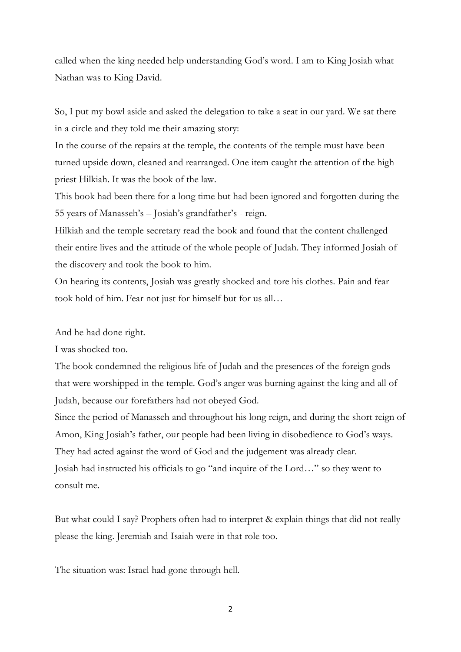called when the king needed help understanding God's word. I am to King Josiah what Nathan was to King David.

So, I put my bowl aside and asked the delegation to take a seat in our yard. We sat there in a circle and they told me their amazing story:

In the course of the repairs at the temple, the contents of the temple must have been turned upside down, cleaned and rearranged. One item caught the attention of the high priest Hilkiah. It was the book of the law.

This book had been there for a long time but had been ignored and forgotten during the 55 years of Manasseh's – Josiah's grandfather's - reign.

Hilkiah and the temple secretary read the book and found that the content challenged their entire lives and the attitude of the whole people of Judah. They informed Josiah of the discovery and took the book to him.

On hearing its contents, Josiah was greatly shocked and tore his clothes. Pain and fear took hold of him. Fear not just for himself but for us all…

And he had done right.

I was shocked too.

The book condemned the religious life of Judah and the presences of the foreign gods that were worshipped in the temple. God's anger was burning against the king and all of Judah, because our forefathers had not obeyed God.

Since the period of Manasseh and throughout his long reign, and during the short reign of Amon, King Josiah's father, our people had been living in disobedience to God's ways. They had acted against the word of God and the judgement was already clear. Josiah had instructed his officials to go "and inquire of the Lord…" so they went to consult me.

But what could I say? Prophets often had to interpret & explain things that did not really please the king. Jeremiah and Isaiah were in that role too.

The situation was: Israel had gone through hell.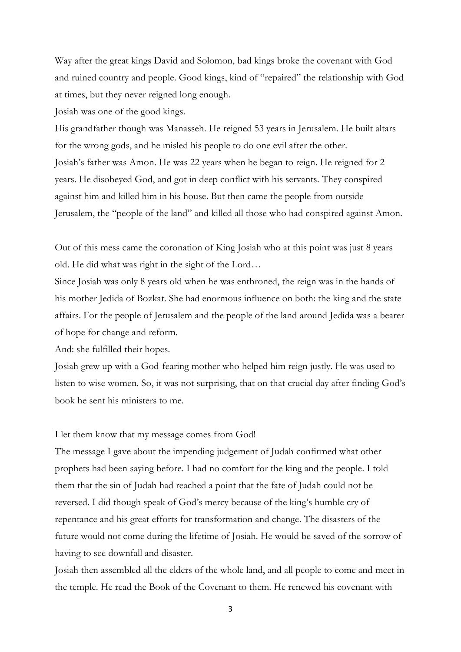Way after the great kings David and Solomon, bad kings broke the covenant with God and ruined country and people. Good kings, kind of "repaired" the relationship with God at times, but they never reigned long enough.

Josiah was one of the good kings.

His grandfather though was Manasseh. He reigned 53 years in Jerusalem. He built altars for the wrong gods, and he misled his people to do one evil after the other. Josiah's father was Amon. He was 22 years when he began to reign. He reigned for 2 years. He disobeyed God, and got in deep conflict with his servants. They conspired against him and killed him in his house. But then came the people from outside Jerusalem, the "people of the land" and killed all those who had conspired against Amon.

Out of this mess came the coronation of King Josiah who at this point was just 8 years old. He did what was right in the sight of the Lord…

Since Josiah was only 8 years old when he was enthroned, the reign was in the hands of his mother Jedida of Bozkat. She had enormous influence on both: the king and the state affairs. For the people of Jerusalem and the people of the land around Jedida was a bearer of hope for change and reform.

And: she fulfilled their hopes.

Josiah grew up with a God-fearing mother who helped him reign justly. He was used to listen to wise women. So, it was not surprising, that on that crucial day after finding God's book he sent his ministers to me.

## I let them know that my message comes from God!

The message I gave about the impending judgement of Judah confirmed what other prophets had been saying before. I had no comfort for the king and the people. I told them that the sin of Judah had reached a point that the fate of Judah could not be reversed. I did though speak of God's mercy because of the king's humble cry of repentance and his great efforts for transformation and change. The disasters of the future would not come during the lifetime of Josiah. He would be saved of the sorrow of having to see downfall and disaster.

Josiah then assembled all the elders of the whole land, and all people to come and meet in the temple. He read the Book of the Covenant to them. He renewed his covenant with

3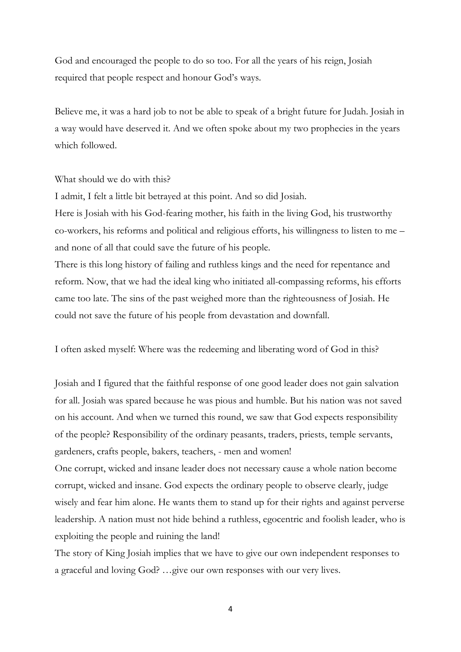God and encouraged the people to do so too. For all the years of his reign, Josiah required that people respect and honour God's ways.

Believe me, it was a hard job to not be able to speak of a bright future for Judah. Josiah in a way would have deserved it. And we often spoke about my two prophecies in the years which followed.

## What should we do with this?

I admit, I felt a little bit betrayed at this point. And so did Josiah.

Here is Josiah with his God-fearing mother, his faith in the living God, his trustworthy co-workers, his reforms and political and religious efforts, his willingness to listen to me – and none of all that could save the future of his people.

There is this long history of failing and ruthless kings and the need for repentance and reform. Now, that we had the ideal king who initiated all-compassing reforms, his efforts came too late. The sins of the past weighed more than the righteousness of Josiah. He could not save the future of his people from devastation and downfall.

I often asked myself: Where was the redeeming and liberating word of God in this?

Josiah and I figured that the faithful response of one good leader does not gain salvation for all. Josiah was spared because he was pious and humble. But his nation was not saved on his account. And when we turned this round, we saw that God expects responsibility of the people? Responsibility of the ordinary peasants, traders, priests, temple servants, gardeners, crafts people, bakers, teachers, - men and women!

One corrupt, wicked and insane leader does not necessary cause a whole nation become corrupt, wicked and insane. God expects the ordinary people to observe clearly, judge wisely and fear him alone. He wants them to stand up for their rights and against perverse leadership. A nation must not hide behind a ruthless, egocentric and foolish leader, who is exploiting the people and ruining the land!

The story of King Josiah implies that we have to give our own independent responses to a graceful and loving God? …give our own responses with our very lives.

4